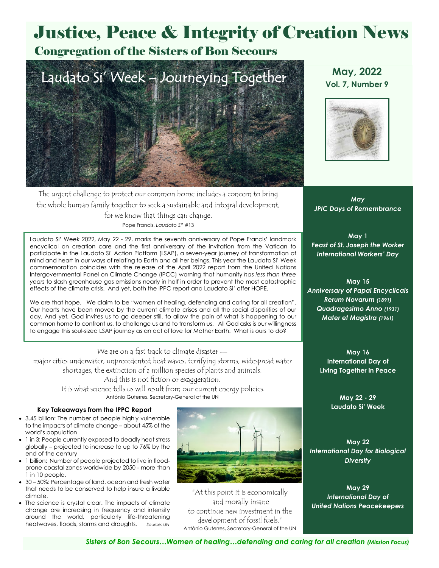# Justice, Peace & Integrity of Creation News

## Congregation of the Sisters of Bon Secours



**May, 2022 Vol. 7, Number 9**



The urgent challenge to protect our common home includes a concern to bring the whole human family together to seek a sustainable and integral development, for we know that things can change. Pope Francis, *Laudato Si'* #13

Laudato Si' Week 2022, May 22 - 29, marks the seventh anniversary of Pope Francis' landmark encyclical on creation care and the first anniversary of the invitation from the Vatican to participate in the Laudato Si' Action Platform (LSAP), a seven-year journey of transformation of mind and heart in our ways of relating to Earth and all her beings. This year the Laudato Si' Week commemoration coincides with the release of the April 2022 report from the United Nations Intergovernmental Panel on Climate Change (IPCC) warning that humanity *has less than three years* to slash greenhouse gas emissions nearly in half in order to prevent the most catastrophic effects of the climate crisis. And yet, both the IPPC report and Laudato Si' offer HOPE.

We are that hope. We claim to be "women of healing, defending and caring for all creation". Our hearts have been moved by the current climate crises and all the social disparities of our day. And yet, God invites us to go deeper still, to allow the pain of what is happening to our common home to confront us, to challenge us and to transform us. All God asks is our willingness to engage this soul-sized LSAP journey as an act of love for Mother Earth. What is ours to do?

We are on a fast track to climate disaster major cities underwater, unprecedented heat waves, terrifying storms, widespread water shortages, the extinction of a million species of plants and animals. And this is not fiction or exaggeration.

> It is what science tells us will result from our current energy policies. António Guterres, Secretary-General of the UN

### **Key Takeaways from the IPPC Report**

- 3.45 billion: The number of people highly vulnerable to the impacts of climate change – about 45% of the world's population
- 1 in 3: People currently exposed to deadly heat stress globally – projected to increase to up to 76% by the end of the century
- 1 billion: Number of people projected to live in floodprone coastal zones worldwide by 2050 - more than 1 in 10 people.
- 30 50%: Percentage of land, ocean and fresh water that needs to be conserved to help insure a livable climate.
- The science is crystal clear. The impacts of climate change are increasing in frequency and intensity around the world, particularly life-threatening heatwaves, floods, storms and droughts. *Source: UN*



"At this point it is economically and morally insane to continue new investment in the development of fossil fuels." António Guterres, Secretary-General of the UN

*May JPIC Days of Remembrance*

**May 1** *Feast of St. Joseph the Worker International Workers' Day*

**May 15** *Anniversary of Papal Encyclicals Rerum Novarum (1891) Quadragesimo Anno (1931) Mater et Magistra (1961)*

> **May 16 International Day of Living Together in Peace**

> > **May 22 - 29 Laudato Si' Week**

**May 22** *International Day for Biological Diversity*

**May 29** *International Day of United Nations Peacekeepers*

*Sisters of Bon Secours…Women of healing…defending and caring for all creation (Mission Focus)*